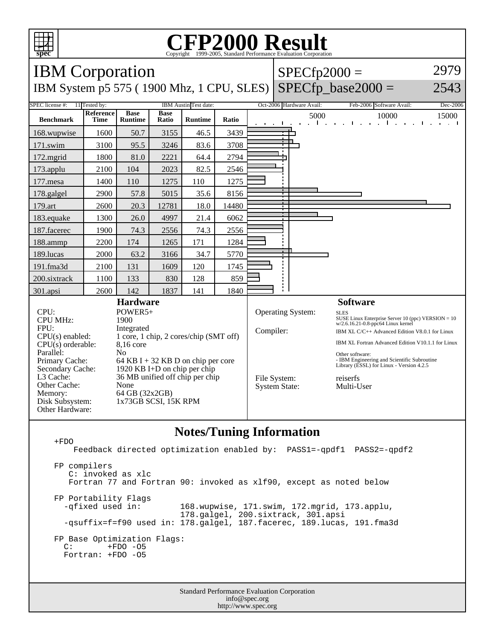

## C<sub>opyright</sub> ©1999-2005, Standard Performance Evaluation Corporation

| <b>IBM</b> Corporation                                                                                                                                                 |                          |                                                                                                                                                                                                                                                              |                      |                |       |  | $SPECfp2000 =$            |                                                  |                                                                                                                                                                                                                                                                                                                                                                             | 2979     |
|------------------------------------------------------------------------------------------------------------------------------------------------------------------------|--------------------------|--------------------------------------------------------------------------------------------------------------------------------------------------------------------------------------------------------------------------------------------------------------|----------------------|----------------|-------|--|---------------------------|--------------------------------------------------|-----------------------------------------------------------------------------------------------------------------------------------------------------------------------------------------------------------------------------------------------------------------------------------------------------------------------------------------------------------------------------|----------|
| IBM System p5 575 (1900 Mhz, 1 CPU, SLES)                                                                                                                              |                          |                                                                                                                                                                                                                                                              |                      |                |       |  |                           |                                                  | $SPECfp\_base2000 =$                                                                                                                                                                                                                                                                                                                                                        | 2543     |
| SPEC license #:<br>11 Tested by:<br>IBM Austin Test date:                                                                                                              |                          |                                                                                                                                                                                                                                                              |                      |                |       |  |                           | Oct-2006 Hardware Avail:                         | Feb-2006 Software Avail:                                                                                                                                                                                                                                                                                                                                                    | Dec-2006 |
| <b>Benchmark</b>                                                                                                                                                       | Reference<br><b>Time</b> | <b>Base</b><br><b>Runtime</b>                                                                                                                                                                                                                                | <b>Base</b><br>Ratio | <b>Runtime</b> | Ratio |  | - 11                      | 5000<br>$\mathbf{L}$                             | 10000<br><b>Contractor</b><br>and the contract of the state of the<br>$\mathbf{a}=\mathbf{a}$ .                                                                                                                                                                                                                                                                             | 15000    |
| 168.wupwise                                                                                                                                                            | 1600                     | 50.7                                                                                                                                                                                                                                                         | 3155                 | 46.5           | 3439  |  |                           |                                                  |                                                                                                                                                                                                                                                                                                                                                                             |          |
| 171.swim                                                                                                                                                               | 3100                     | 95.5                                                                                                                                                                                                                                                         | 3246                 | 83.6           | 3708  |  |                           |                                                  |                                                                                                                                                                                                                                                                                                                                                                             |          |
| 172.mgrid                                                                                                                                                              | 1800                     | 81.0                                                                                                                                                                                                                                                         | 2221                 | 64.4           | 2794  |  |                           |                                                  |                                                                                                                                                                                                                                                                                                                                                                             |          |
| 173.applu                                                                                                                                                              | 2100                     | 104                                                                                                                                                                                                                                                          | 2023                 | 82.5           | 2546  |  |                           |                                                  |                                                                                                                                                                                                                                                                                                                                                                             |          |
| 177.mesa                                                                                                                                                               | 1400                     | 110                                                                                                                                                                                                                                                          | 1275                 | 110            | 1275  |  |                           |                                                  |                                                                                                                                                                                                                                                                                                                                                                             |          |
| 178.galgel                                                                                                                                                             | 2900                     | 57.8                                                                                                                                                                                                                                                         | 5015                 | 35.6           | 8156  |  |                           |                                                  |                                                                                                                                                                                                                                                                                                                                                                             |          |
| 179.art                                                                                                                                                                | 2600                     | 20.3                                                                                                                                                                                                                                                         | 12781                | 18.0           | 14480 |  |                           |                                                  |                                                                                                                                                                                                                                                                                                                                                                             |          |
| 183.equake                                                                                                                                                             | 1300                     | 26.0                                                                                                                                                                                                                                                         | 4997                 | 21.4           | 6062  |  |                           |                                                  |                                                                                                                                                                                                                                                                                                                                                                             |          |
| 187.facerec                                                                                                                                                            | 1900                     | 74.3                                                                                                                                                                                                                                                         | 2556                 | 74.3           | 2556  |  |                           |                                                  |                                                                                                                                                                                                                                                                                                                                                                             |          |
| 188.ammp                                                                                                                                                               | 2200                     | 174                                                                                                                                                                                                                                                          | 1265                 | 171            | 1284  |  |                           |                                                  |                                                                                                                                                                                                                                                                                                                                                                             |          |
| 189.lucas                                                                                                                                                              | 2000                     | 63.2                                                                                                                                                                                                                                                         | 3166                 | 34.7           | 5770  |  |                           |                                                  |                                                                                                                                                                                                                                                                                                                                                                             |          |
| 191.fma3d                                                                                                                                                              | 2100                     | 131                                                                                                                                                                                                                                                          | 1609                 | 120            | 1745  |  |                           |                                                  |                                                                                                                                                                                                                                                                                                                                                                             |          |
| 200.sixtrack                                                                                                                                                           | 1100                     | 133                                                                                                                                                                                                                                                          | 830                  | 128            | 859   |  |                           |                                                  |                                                                                                                                                                                                                                                                                                                                                                             |          |
| 301.apsi                                                                                                                                                               | 2600                     | 142                                                                                                                                                                                                                                                          | 1837                 | 141            | 1840  |  |                           |                                                  |                                                                                                                                                                                                                                                                                                                                                                             |          |
| CPU:<br><b>CPU MHz:</b><br>FPU:<br>$CPU(s)$ enabled:<br>$CPU(s)$ orderable:<br>Parallel:<br>Primary Cache:<br>Secondary Cache:<br>L3 Cache:<br>Other Cache:<br>Memory: |                          | <b>Hardware</b><br>POWER5+<br>1900<br>Integrated<br>1 core, 1 chip, 2 cores/chip (SMT off)<br>8,16 core<br>N <sub>0</sub><br>64 KB I + 32 KB D on chip per core<br>1920 KB I+D on chip per chip<br>36 MB unified off chip per chip<br>None<br>64 GB (32x2GB) |                      |                |       |  | Compiler:<br>File System: | <b>Operating System:</b><br><b>System State:</b> | <b>Software</b><br><b>SLES</b><br>SUSE Linux Enterprise Server 10 (ppc) VERSION = $10$<br>w/2.6.16.21-0.8-ppc64 Linux kernel<br>IBM XL C/C++ Advanced Edition V8.0.1 for Linux<br>IBM XL Fortran Advanced Edition V10.1.1 for Linux<br>Other software:<br>- IBM Engineering and Scientific Subroutine<br>Library (ESSL) for Linux - Version 4.2.5<br>reiserfs<br>Multi-User |          |
| Disk Subsystem:<br>Other Hardware:                                                                                                                                     | 1x73GB SCSI, 15K RPM     |                                                                                                                                                                                                                                                              |                      |                |       |  |                           |                                                  |                                                                                                                                                                                                                                                                                                                                                                             |          |

## **Notes/Tuning Information**

 +FDO Feedback directed optimization enabled by: PASS1=-qpdf1 PASS2=-qpdf2 FP compilers C: invoked as xlc Fortran 77 and Fortran 90: invoked as xlf90, except as noted below FP Portability Flags -qfixed used in: 168.wupwise, 171.swim, 172.mgrid, 173.applu, 178.galgel, 200.sixtrack, 301.apsi -qsuffix=f=f90 used in: 178.galgel, 187.facerec, 189.lucas, 191.fma3d FP Base Optimization Flags:<br>C: +FDO -05 +FDO -05 Fortran: +FDO -O5

> Standard Performance Evaluation Corporation info@spec.org http://www.spec.org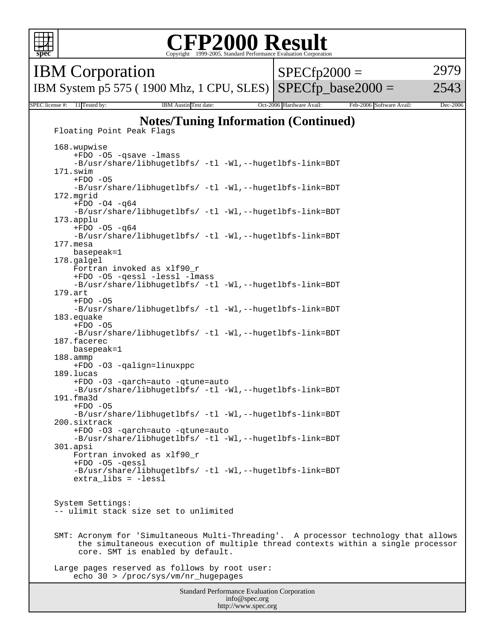